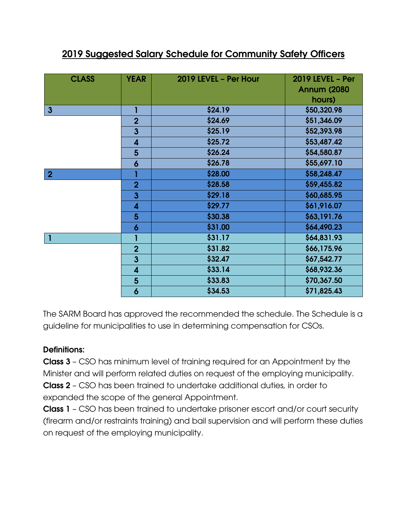| <b>CLASS</b>   | <b>YEAR</b>             | 2019 LEVEL - Per Hour | <b>2019 LEVEL - Per</b><br><b>Annum (2080)</b><br>hours) |
|----------------|-------------------------|-----------------------|----------------------------------------------------------|
| $\mathbf{3}$   |                         | \$24.19               | \$50,320.98                                              |
|                | $\overline{2}$          | \$24.69               | \$51,346.09                                              |
|                | $\overline{\mathbf{3}}$ | \$25.19               | \$52,393.98                                              |
|                | $\overline{\mathbf{4}}$ | \$25.72               | \$53,487.42                                              |
|                | $5\phantom{1}$          | \$26.24               | \$54,580.87                                              |
|                | 6                       | \$26.78               | \$55,697.10                                              |
| $\overline{2}$ |                         | \$28.00               | \$58,248.47                                              |
|                | $\overline{2}$          | \$28.58               | \$59,455.82                                              |
|                | $\mathbf{3}$            | \$29.18               | \$60,685.95                                              |
|                | 4                       | \$29.77               | \$61,916.07                                              |
|                | 5                       | \$30.38               | \$63,191.76                                              |
|                | 6                       | \$31.00               | \$64,490.23                                              |
| $\mathbf{I}$   |                         | \$31.17               | \$64,831.93                                              |
|                | $\overline{2}$          | \$31.82               | \$66,175.96                                              |
|                | $\mathbf{3}$            | \$32.47               | \$67,542.77                                              |
|                | $\overline{\mathbf{4}}$ | \$33.14               | \$68,932.36                                              |
|                | $5\phantom{1}$          | \$33.83               | \$70,367.50                                              |
|                | 6                       | \$34.53               | \$71,825.43                                              |

## 2019 Suggested Salary Schedule for Community Safety Officers

The SARM Board has approved the recommended the schedule. The Schedule is a guideline for municipalities to use in determining compensation for CSOs.

## Definitions:

Class 3 – CSO has minimum level of training required for an Appointment by the Minister and will perform related duties on request of the employing municipality. Class 2 – CSO has been trained to undertake additional duties, in order to expanded the scope of the general Appointment.

Class 1 – CSO has been trained to undertake prisoner escort and/or court security (firearm and/or restraints training) and bail supervision and will perform these duties on request of the employing municipality.